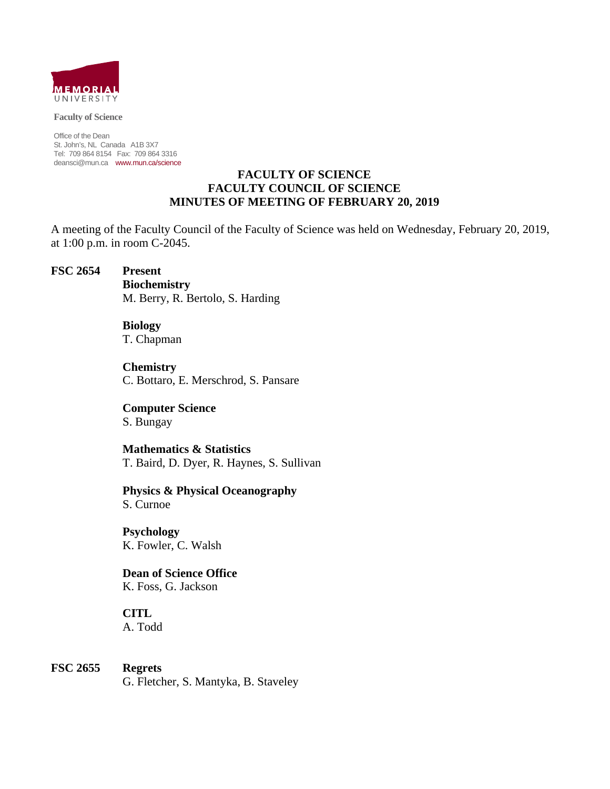

#### **Faculty of Science**

Office of the Dean St. John's, NL Canada A1B 3X7 Tel: 709 864 8154 Fax: 709 864 3316 deansci@mun.ca www.mun.ca/science

#### **FACULTY OF SCIENCE FACULTY COUNCIL OF SCIENCE MINUTES OF MEETING OF FEBRUARY 20, 2019**

A meeting of the Faculty Council of the Faculty of Science was held on Wednesday, February 20, 2019, at 1:00 p.m. in room C-2045.

#### **FSC 2654 Present**

 **Biochemistry** M. Berry, R. Bertolo, S. Harding

 **Biology** T. Chapman

 **Chemistry** C. Bottaro, E. Merschrod, S. Pansare

 **Computer Science** S. Bungay

 **Mathematics & Statistics** T. Baird, D. Dyer, R. Haynes, S. Sullivan

 **Physics & Physical Oceanography** S. Curnoe

 **Psychology** K. Fowler, C. Walsh

 **Dean of Science Office** K. Foss, G. Jackson

 **CITL** A. Todd

**FSC 2655 Regrets** G. Fletcher, S. Mantyka, B. Staveley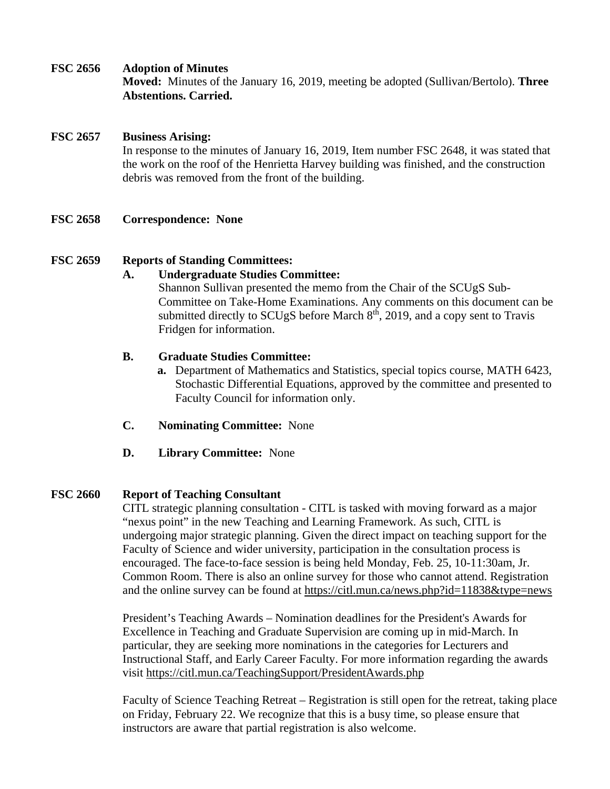#### **FSC 2656 Adoption of Minutes**

**Moved:** Minutes of the January 16, 2019, meeting be adopted (Sullivan/Bertolo). **Three Abstentions. Carried.** 

## **FSC 2657 Business Arising:**

In response to the minutes of January 16, 2019, Item number FSC 2648, it was stated that the work on the roof of the Henrietta Harvey building was finished, and the construction debris was removed from the front of the building.

**FSC 2658 Correspondence: None** 

## **FSC 2659 Reports of Standing Committees:**

## **A. Undergraduate Studies Committee:**

Shannon Sullivan presented the memo from the Chair of the SCUgS Sub-Committee on Take-Home Examinations. Any comments on this document can be submitted directly to SCUgS before March  $8<sup>th</sup>$ , 2019, and a copy sent to Travis Fridgen for information.

#### **B. Graduate Studies Committee:**

- **a.** Department of Mathematics and Statistics, special topics course, MATH 6423, Stochastic Differential Equations, approved by the committee and presented to Faculty Council for information only.
- **C. Nominating Committee:** None
- **D. Library Committee:** None

## **FSC 2660 Report of Teaching Consultant**

CITL strategic planning consultation - CITL is tasked with moving forward as a major "nexus point" in the new Teaching and Learning Framework. As such, CITL is undergoing major strategic planning. Given the direct impact on teaching support for the Faculty of Science and wider university, participation in the consultation process is encouraged. The face-to-face session is being held Monday, Feb. 25, 10-11:30am, Jr. Common Room. There is also an online survey for those who cannot attend. Registration and the online survey can be found at https://citl.mun.ca/news.php?id=11838&type=news

President's Teaching Awards – Nomination deadlines for the President's Awards for Excellence in Teaching and Graduate Supervision are coming up in mid-March. In particular, they are seeking more nominations in the categories for Lecturers and Instructional Staff, and Early Career Faculty. For more information regarding the awards visit https://citl.mun.ca/TeachingSupport/PresidentAwards.php

Faculty of Science Teaching Retreat – Registration is still open for the retreat, taking place on Friday, February 22. We recognize that this is a busy time, so please ensure that instructors are aware that partial registration is also welcome.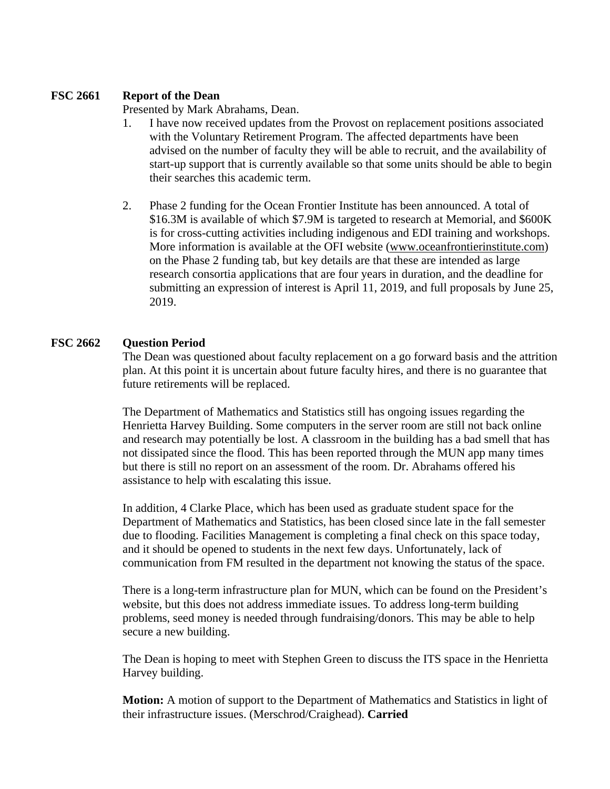# **FSC 2661 Report of the Dean**

Presented by Mark Abrahams, Dean.

- 1. I have now received updates from the Provost on replacement positions associated with the Voluntary Retirement Program. The affected departments have been advised on the number of faculty they will be able to recruit, and the availability of start-up support that is currently available so that some units should be able to begin their searches this academic term.
- 2. Phase 2 funding for the Ocean Frontier Institute has been announced. A total of \$16.3M is available of which \$7.9M is targeted to research at Memorial, and \$600K is for cross-cutting activities including indigenous and EDI training and workshops. More information is available at the OFI website (www.oceanfrontierinstitute.com) on the Phase 2 funding tab, but key details are that these are intended as large research consortia applications that are four years in duration, and the deadline for submitting an expression of interest is April 11, 2019, and full proposals by June 25, 2019.

# **FSC 2662 Question Period**

The Dean was questioned about faculty replacement on a go forward basis and the attrition plan. At this point it is uncertain about future faculty hires, and there is no guarantee that future retirements will be replaced.

The Department of Mathematics and Statistics still has ongoing issues regarding the Henrietta Harvey Building. Some computers in the server room are still not back online and research may potentially be lost. A classroom in the building has a bad smell that has not dissipated since the flood. This has been reported through the MUN app many times but there is still no report on an assessment of the room. Dr. Abrahams offered his assistance to help with escalating this issue.

In addition, 4 Clarke Place, which has been used as graduate student space for the Department of Mathematics and Statistics, has been closed since late in the fall semester due to flooding. Facilities Management is completing a final check on this space today, and it should be opened to students in the next few days. Unfortunately, lack of communication from FM resulted in the department not knowing the status of the space.

There is a long-term infrastructure plan for MUN, which can be found on the President's website, but this does not address immediate issues. To address long-term building problems, seed money is needed through fundraising/donors. This may be able to help secure a new building.

The Dean is hoping to meet with Stephen Green to discuss the ITS space in the Henrietta Harvey building.

**Motion:** A motion of support to the Department of Mathematics and Statistics in light of their infrastructure issues. (Merschrod/Craighead). **Carried**